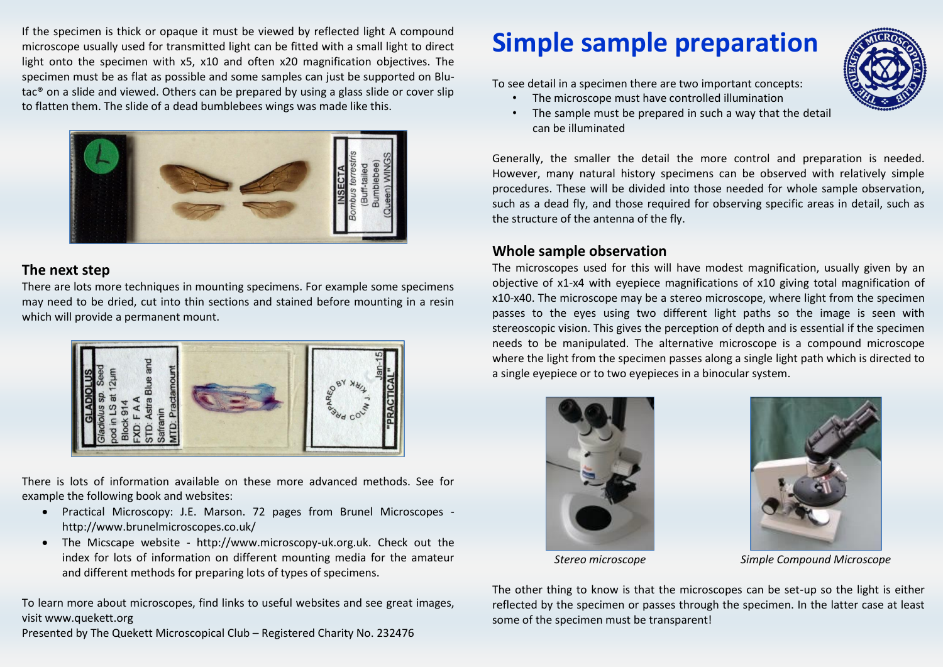If the specimen is thick or opaque it must be viewed by reflected light A compound microscope usually used for transmitted light can be fitted with a small light to direct light onto the specimen with x5, x10 and often x20 magnification objectives. The specimen must be as flat as possible and some samples can just be supported on Blutac® on a slide and viewed. Others can be prepared by using a glass slide or cover slip to flatten them. The slide of a dead bumblebees wings was made like this.



#### **The next step**

There are lots more techniques in mounting specimens. For example some specimens may need to be dried, cut into thin sections and stained before mounting in a resin which will provide a permanent mount.



There is lots of information available on these more advanced methods. See for example the following book and websites:

- Practical Microscopy: J.E. Marson. 72 pages from Brunel Microscopes http://www.brunelmicroscopes.co.uk/
- The Micscape website http://www.microscopy-uk.org.uk. Check out the index for lots of information on different mounting media for the amateur and different methods for preparing lots of types of specimens.

To learn more about microscopes, find links to useful websites and see great images, visit www.quekett.org

Presented by The Quekett Microscopical Club – Registered Charity No. 232476

# **Simple sample preparation**

To see detail in a specimen there are two important concepts:

- The microscope must have controlled illumination
	- The sample must be prepared in such a way that the detail can be illuminated

Generally, the smaller the detail the more control and preparation is needed. However, many natural history specimens can be observed with relatively simple procedures. These will be divided into those needed for whole sample observation, such as a dead fly, and those required for observing specific areas in detail, such as the structure of the antenna of the fly.

### **Whole sample observation**

The microscopes used for this will have modest magnification, usually given by an objective of x1-x4 with eyepiece magnifications of x10 giving total magnification of x10-x40. The microscope may be a stereo microscope, where light from the specimen passes to the eyes using two different light paths so the image is seen with stereoscopic vision. This gives the perception of depth and is essential if the specimen needs to be manipulated. The alternative microscope is a compound microscope where the light from the specimen passes along a single light path which is directed to a single eyepiece or to two eyepieces in a binocular system.





*Stereo microscope Simple Compound Microscope*

The other thing to know is that the microscopes can be set-up so the light is either reflected by the specimen or passes through the specimen. In the latter case at least some of the specimen must be transparent!